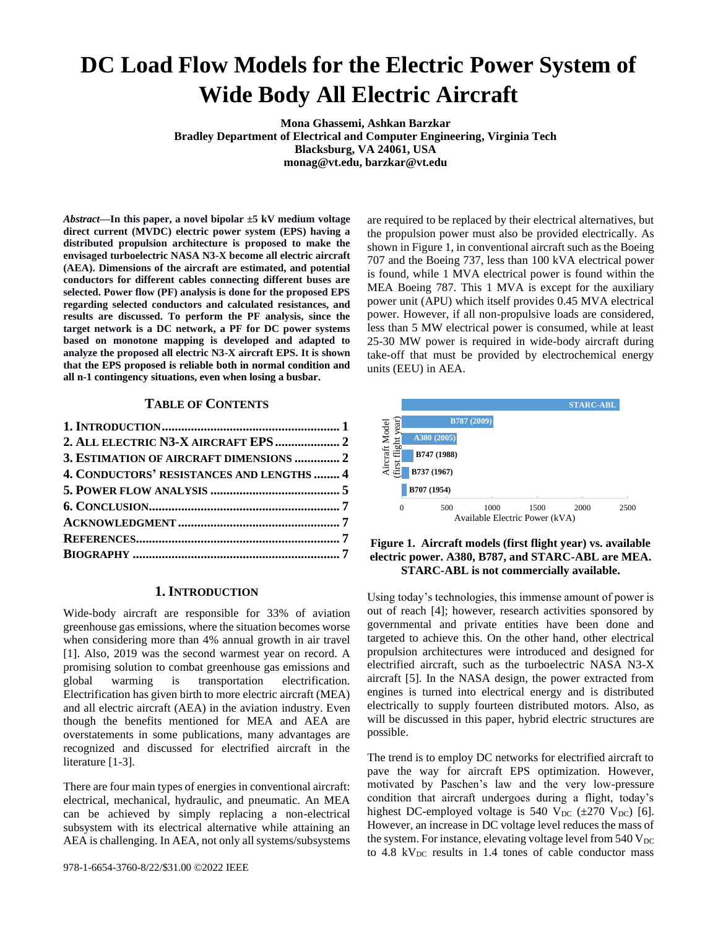# **DC Load Flow Models for the Electric Power System of Wide Body All Electric Aircraft**

**Mona Ghassemi, Ashkan Barzkar Bradley Department of Electrical and Computer Engineering, Virginia Tech Blacksburg, VA 24061, USA monag@vt.edu, barzkar@vt.edu**

*Abstract***—In this paper, a novel bipolar ±5 kV medium voltage direct current (MVDC) electric power system (EPS) having a distributed propulsion architecture is proposed to make the envisaged turboelectric NASA N3-X become all electric aircraft (AEA). Dimensions of the aircraft are estimated, and potential conductors for different cables connecting different buses are selected. Power flow (PF) analysis is done for the proposed EPS regarding selected conductors and calculated resistances, and results are discussed. To perform the PF analysis, since the target network is a DC network, a PF for DC power systems based on monotone mapping is developed and adapted to analyze the proposed all electric N3-X aircraft EPS. It is shown that the EPS proposed is reliable both in normal condition and all n-1 contingency situations, even when losing a busbar.**

# **TABLE OF CONTENTS**

| 2. ALL ELECTRIC N3-X AIRCRAFT EPS  2      |  |
|-------------------------------------------|--|
| 3. ESTIMATION OF AIRCRAFT DIMENSIONS  2   |  |
| 4. CONDUCTORS' RESISTANCES AND LENGTHS  4 |  |
|                                           |  |
|                                           |  |
|                                           |  |
|                                           |  |
|                                           |  |
|                                           |  |

### **1. INTRODUCTION**

<span id="page-0-0"></span>Wide-body aircraft are responsible for 33% of aviation greenhouse gas emissions, where the situation becomes worse when considering more than 4% annual growth in air travel [1]. Also, 2019 was the second warmest year on record. A promising solution to combat greenhouse gas emissions and global warming is transportation electrification. Electrification has given birth to more electric aircraft (MEA) and all electric aircraft (AEA) in the aviation industry. Even though the benefits mentioned for MEA and AEA are overstatements in some publications, many advantages are recognized and discussed for electrified aircraft in the literature [1-3].

There are four main types of energies in conventional aircraft: electrical, mechanical, hydraulic, and pneumatic. An MEA can be achieved by simply replacing a non-electrical subsystem with its electrical alternative while attaining an AEA is challenging. In AEA, not only all systems/subsystems are required to be replaced by their electrical alternatives, but the propulsion power must also be provided electrically. As shown in Figure 1, in conventional aircraft such as the Boeing 707 and the Boeing 737, less than 100 kVA electrical power is found, while 1 MVA electrical power is found within the MEA Boeing 787. This 1 MVA is except for the auxiliary power unit (APU) which itself provides 0.45 MVA electrical power. However, if all non-propulsive loads are considered, less than 5 MW electrical power is consumed, while at least 25-30 MW power is required in wide-body aircraft during take-off that must be provided by electrochemical energy units (EEU) in AEA.



**Figure 1. Aircraft models (first flight year) vs. available electric power. A380, B787, and STARC-ABL are MEA. STARC-ABL is not commercially available.**

Using today's technologies, this immense amount of power is out of reach [4]; however, research activities sponsored by governmental and private entities have been done and targeted to achieve this. On the other hand, other electrical propulsion architectures were introduced and designed for electrified aircraft, such as the turboelectric NASA N3-X aircraft [5]. In the NASA design, the power extracted from engines is turned into electrical energy and is distributed electrically to supply fourteen distributed motors. Also, as will be discussed in this paper, hybrid electric structures are possible.

The trend is to employ DC networks for electrified aircraft to pave the way for aircraft EPS optimization. However, motivated by Paschen's law and the very low-pressure condition that aircraft undergoes during a flight, today's highest DC-employed voltage is 540 V<sub>DC</sub>  $(\pm 270 \text{ V}_{\text{DC}})$  [6]. However, an increase in DC voltage level reduces the mass of the system. For instance, elevating voltage level from  $540 \text{ V}_{\text{DC}}$ to  $4.8$  kV<sub>DC</sub> results in 1.4 tones of cable conductor mass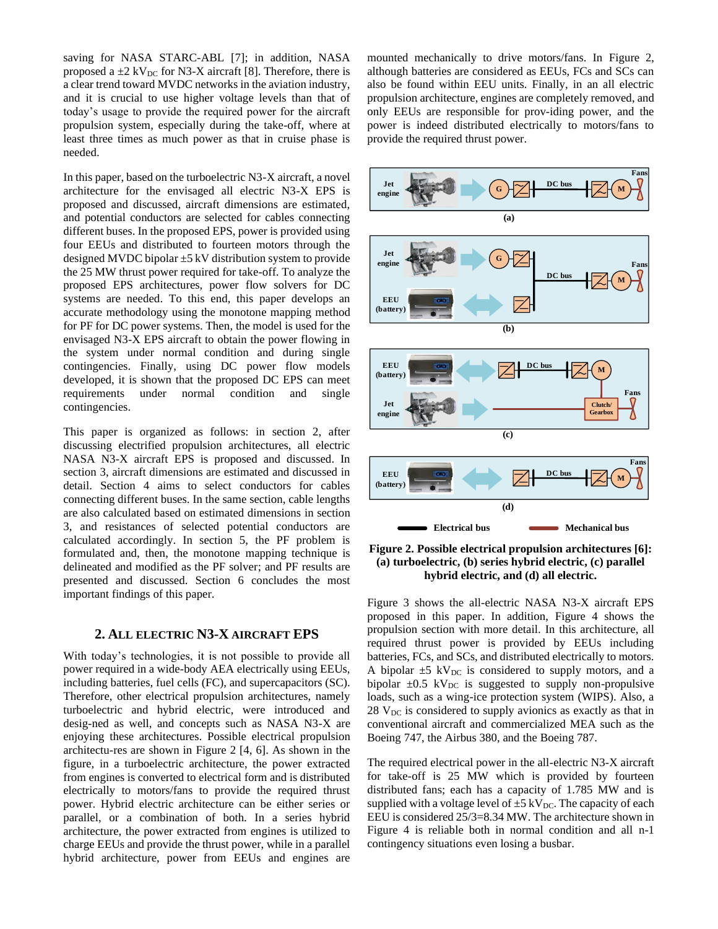saving for NASA STARC-ABL [7]; in addition, NASA proposed a  $\pm 2$  kV<sub>DC</sub> for N3-X aircraft [8]. Therefore, there is a clear trend toward MVDC networks in the aviation industry, and it is crucial to use higher voltage levels than that of today's usage to provide the required power for the aircraft propulsion system, especially during the take-off, where at least three times as much power as that in cruise phase is needed.

In this paper, based on the turboelectric N3-X aircraft, a novel architecture for the envisaged all electric N3-X EPS is proposed and discussed, aircraft dimensions are estimated, and potential conductors are selected for cables connecting different buses. In the proposed EPS, power is provided using four EEUs and distributed to fourteen motors through the designed MVDC bipolar ±5 kV distribution system to provide the 25 MW thrust power required for take-off. To analyze the proposed EPS architectures, power flow solvers for DC systems are needed. To this end, this paper develops an accurate methodology using the monotone mapping method for PF for DC power systems. Then, the model is used for the envisaged N3-X EPS aircraft to obtain the power flowing in the system under normal condition and during single contingencies. Finally, using DC power flow models developed, it is shown that the proposed DC EPS can meet requirements under normal condition and single contingencies.

This paper is organized as follows: in section 2, after discussing electrified propulsion architectures, all electric NASA N3-X aircraft EPS is proposed and discussed. In section 3, aircraft dimensions are estimated and discussed in detail. Section 4 aims to select conductors for cables connecting different buses. In the same section, cable lengths are also calculated based on estimated dimensions in section 3, and resistances of selected potential conductors are calculated accordingly. In section 5, the PF problem is formulated and, then, the monotone mapping technique is delineated and modified as the PF solver; and PF results are presented and discussed. Section 6 concludes the most important findings of this paper.

## **2. ALL ELECTRIC N3-X AIRCRAFT EPS**

With today's technologies, it is not possible to provide all power required in a wide-body AEA electrically using EEUs, including batteries, fuel cells (FC), and supercapacitors (SC). Therefore, other electrical propulsion architectures, namely turboelectric and hybrid electric, were introduced and desig-ned as well, and concepts such as NASA N3-X are enjoying these architectures. Possible electrical propulsion architectu-res are shown in Figure 2 [4, 6]. As shown in the figure, in a turboelectric architecture, the power extracted from engines is converted to electrical form and is distributed electrically to motors/fans to provide the required thrust power. Hybrid electric architecture can be either series or parallel, or a combination of both. In a series hybrid architecture, the power extracted from engines is utilized to charge EEUs and provide the thrust power, while in a parallel hybrid architecture, power from EEUs and engines are

mounted mechanically to drive motors/fans. In Figure 2, although batteries are considered as EEUs, FCs and SCs can also be found within EEU units. Finally, in an all electric propulsion architecture, engines are completely removed, and only EEUs are responsible for prov-iding power, and the power is indeed distributed electrically to motors/fans to provide the required thrust power.



**Figure 2. Possible electrical propulsion architectures [6]: (a) turboelectric, (b) series hybrid electric, (c) parallel hybrid electric, and (d) all electric.**

Figure 3 shows the all-electric NASA N3-X aircraft EPS proposed in this paper. In addition, Figure 4 shows the propulsion section with more detail. In this architecture, all required thrust power is provided by EEUs including batteries, FCs, and SCs, and distributed electrically to motors. A bipolar  $\pm 5$  kV<sub>DC</sub> is considered to supply motors, and a bipolar  $\pm 0.5$  kV<sub>DC</sub> is suggested to supply non-propulsive loads, such as a wing-ice protection system (WIPS). Also, a  $28$  V<sub>DC</sub> is considered to supply avionics as exactly as that in conventional aircraft and commercialized MEA such as the Boeing 747, the Airbus 380, and the Boeing 787.

The required electrical power in the all-electric N3-X aircraft for take-off is 25 MW which is provided by fourteen distributed fans; each has a capacity of 1.785 MW and is supplied with a voltage level of  $\pm$ 5 kV<sub>DC</sub>. The capacity of each EEU is considered 25/3=8.34 MW. The architecture shown in Figure 4 is reliable both in normal condition and all n-1 contingency situations even losing a busbar.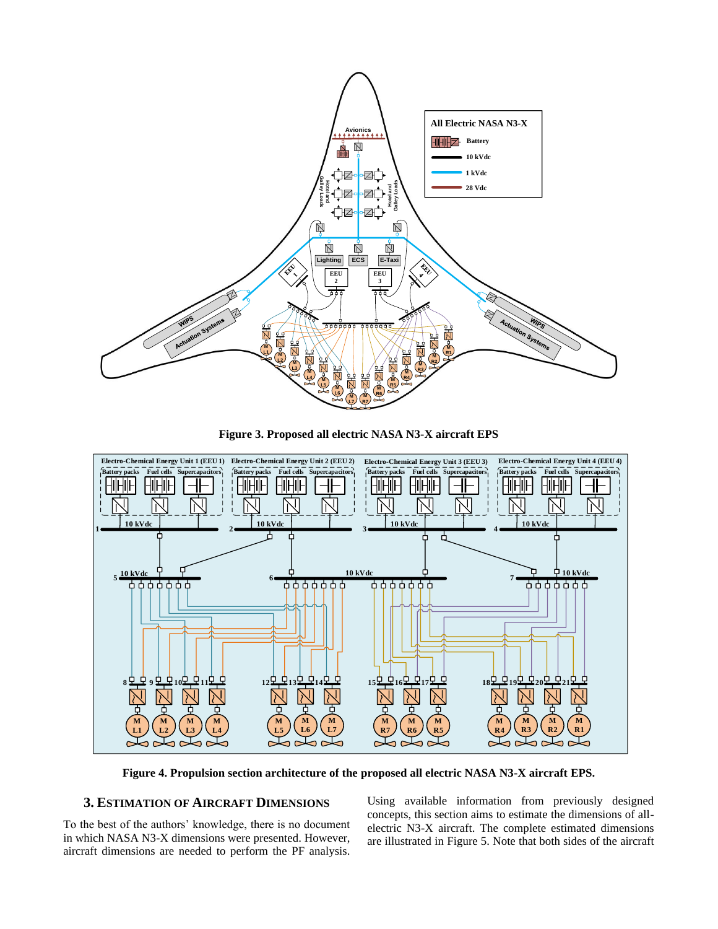

**Figure 3. Proposed all electric NASA N3-X aircraft EPS**



**Figure 4. Propulsion section architecture of the proposed all electric NASA N3-X aircraft EPS.**

# **3. ESTIMATION OF AIRCRAFT DIMENSIONS**

To the best of the authors' knowledge, there is no document in which NASA N3-X dimensions were presented. However, aircraft dimensions are needed to perform the PF analysis.

Using available information from previously designed concepts, this section aims to estimate the dimensions of allelectric N3-X aircraft. The complete estimated dimensions are illustrated in Figure 5. Note that both sides of the aircraft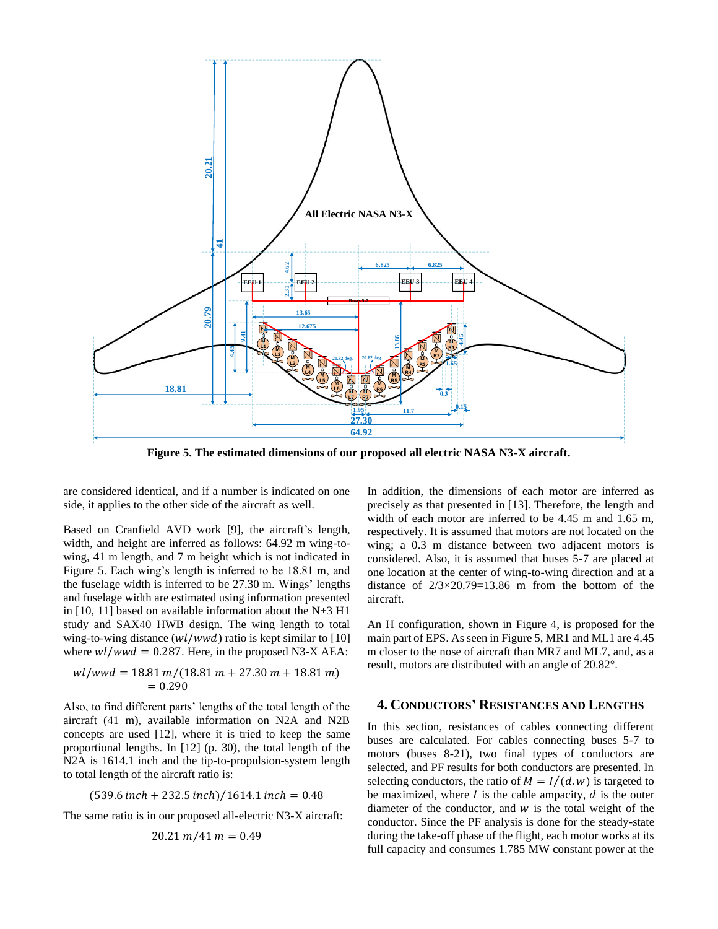

**Figure 5. The estimated dimensions of our proposed all electric NASA N3-X aircraft.** 

are considered identical, and if a number is indicated on one side, it applies to the other side of the aircraft as well.

Based on Cranfield AVD work [9], the aircraft's length, width, and height are inferred as follows: 64.92 m wing-towing, 41 m length, and 7 m height which is not indicated in Figure 5. Each wing's length is inferred to be 18.81 m, and the fuselage width is inferred to be 27.30 m. Wings' lengths and fuselage width are estimated using information presented in [10, 11] based on available information about the N+3 H1 study and SAX40 HWB design. The wing length to total wing-to-wing distance  $(wl/wwd)$  ratio is kept similar to [10] where  $wl/wwd = 0.287$ . Here, in the proposed N3-X AEA:

$$
wl/wwd = 18.81 m/(18.81 m + 27.30 m + 18.81 m)
$$
  
= 0.290

Also, to find different parts' lengths of the total length of the aircraft (41 m), available information on N2A and N2B concepts are used [12], where it is tried to keep the same proportional lengths. In [12] (p. 30), the total length of the N2A is 1614.1 inch and the tip-to-propulsion-system length to total length of the aircraft ratio is:

$$
(539.6 \text{ inch} + 232.5 \text{ inch}) / 1614.1 \text{ inch} = 0.48
$$

The same ratio is in our proposed all-electric N3-X aircraft:

$$
20.21\ m/41\ m=0.49
$$

In addition, the dimensions of each motor are inferred as precisely as that presented in [13]. Therefore, the length and width of each motor are inferred to be 4.45 m and 1.65 m, respectively. It is assumed that motors are not located on the wing; a 0.3 m distance between two adjacent motors is considered. Also, it is assumed that buses 5-7 are placed at one location at the center of wing-to-wing direction and at a distance of  $2/3 \times 20.79 = 13.86$  m from the bottom of the aircraft.

An H configuration, shown in Figure 4, is proposed for the main part of EPS. As seen in Figure 5, MR1 and ML1 are 4.45 m closer to the nose of aircraft than MR7 and ML7, and, as a result, motors are distributed with an angle of 20.82°.

# **4. CONDUCTORS' RESISTANCES AND LENGTHS**

In this section, resistances of cables connecting different buses are calculated. For cables connecting buses 5-7 to motors (buses 8-21), two final types of conductors are selected, and PF results for both conductors are presented. In selecting conductors, the ratio of  $M = I/(d \cdot w)$  is targeted to be maximized, where  $I$  is the cable ampacity,  $d$  is the outer diameter of the conductor, and  $w$  is the total weight of the conductor. Since the PF analysis is done for the steady-state during the take-off phase of the flight, each motor works at its full capacity and consumes 1.785 MW constant power at the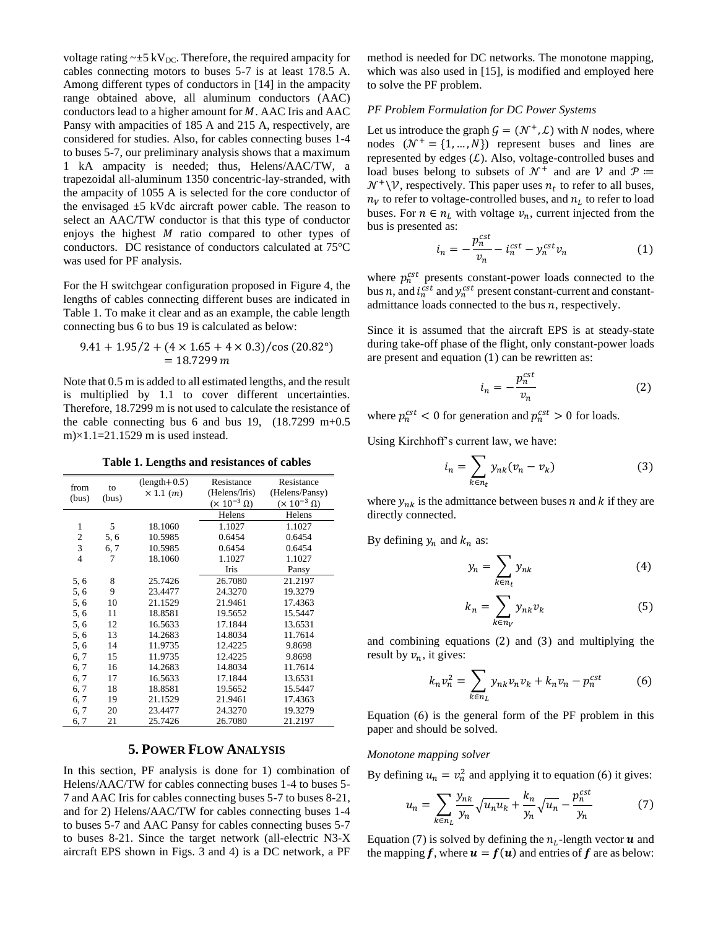voltage rating  $\sim \pm 5 \text{ kV}_{\text{DC}}$ . Therefore, the required ampacity for cables connecting motors to buses 5-7 is at least 178.5 A. Among different types of conductors in [14] in the ampacity range obtained above, all aluminum conductors (AAC) conductors lead to a higher amount for  $M$ . AAC Iris and AAC Pansy with ampacities of 185 A and 215 A, respectively, are considered for studies. Also, for cables connecting buses 1-4 to buses 5-7, our preliminary analysis shows that a maximum 1 kA ampacity is needed; thus, Helens/AAC/TW, a trapezoidal all-aluminum 1350 concentric-lay-stranded, with the ampacity of 1055 A is selected for the core conductor of the envisaged  $\pm$ 5 kVdc aircraft power cable. The reason to select an AAC/TW conductor is that this type of conductor enjoys the highest  $M$  ratio compared to other types of conductors. DC resistance of conductors calculated at 75°C was used for PF analysis.

For the H switchgear configuration proposed in Figure 4, the lengths of cables connecting different buses are indicated in Table 1. To make it clear and as an example, the cable length connecting bus 6 to bus 19 is calculated as below:

$$
9.41 + 1.95/2 + (4 \times 1.65 + 4 \times 0.3)/\cos(20.82^{\circ})
$$
  
= 18.7299 m

Note that 0.5 m is added to all estimated lengths, and the result is multiplied by 1.1 to cover different uncertainties. Therefore, 18.7299 m is not used to calculate the resistance of the cable connecting bus 6 and bus 19,  $(18.7299 \text{ m}+0.5$ m $\times$ 1.1=21.1529 m is used instead.

**Table 1. Lengths and resistances of cables** 

| from<br>(bus)  | to<br>(bus) | $(length+0.5)$<br>$\times$ 1.1 $(m)$ | Resistance<br>(Helens/Iris)<br>$(\times 10^{-3} \Omega)$ | Resistance<br>(Helens/Pansy)<br>$(\times 10^{-3} \Omega)$ |
|----------------|-------------|--------------------------------------|----------------------------------------------------------|-----------------------------------------------------------|
|                |             |                                      | Helens                                                   | Helens                                                    |
| 1              | 5           | 18.1060                              | 1.1027                                                   | 1.1027                                                    |
| $\frac{2}{3}$  | 5, 6        | 10.5985                              | 0.6454                                                   | 0.6454                                                    |
|                | 6, 7        | 10.5985                              | 0.6454                                                   | 0.6454                                                    |
| $\overline{4}$ | 7           | 18.1060                              | 1.1027                                                   | 1.1027                                                    |
|                |             |                                      | Iris                                                     | Pansy                                                     |
| 5, 6           | 8           | 25.7426                              | 26.7080                                                  | 21.2197                                                   |
| 5, 6           | 9           | 23.4477                              | 24.3270                                                  | 19.3279                                                   |
| 5, 6           | 10          | 21.1529                              | 21.9461                                                  | 17.4363                                                   |
| 5, 6           | 11          | 18.8581                              | 19.5652                                                  | 15.5447                                                   |
| 5, 6           | 12          | 16.5633                              | 17.1844                                                  | 13.6531                                                   |
| 5, 6           | 13          | 14.2683                              | 14.8034                                                  | 11.7614                                                   |
| 5, 6           | 14          | 11.9735                              | 12.4225                                                  | 9.8698                                                    |
| 6, 7           | 15          | 11.9735                              | 12.4225                                                  | 9.8698                                                    |
| 6, 7           | 16          | 14.2683                              | 14.8034                                                  | 11.7614                                                   |
| 6, 7           | 17          | 16.5633                              | 17.1844                                                  | 13.6531                                                   |
| 6, 7           | 18          | 18.8581                              | 19.5652                                                  | 15.5447                                                   |
| 6, 7           | 19          | 21.1529                              | 21.9461                                                  | 17.4363                                                   |
| 6, 7           | 20          | 23.4477                              | 24.3270                                                  | 19.3279                                                   |
| 6, 7           | 21          | 25.7426                              | 26.7080                                                  | 21.2197                                                   |

# **5. POWER FLOW ANALYSIS**

In this section, PF analysis is done for 1) combination of Helens/AAC/TW for cables connecting buses 1-4 to buses 5- 7 and AAC Iris for cables connecting buses 5-7 to buses 8-21, and for 2) Helens/AAC/TW for cables connecting buses 1-4 to buses 5-7 and AAC Pansy for cables connecting buses 5-7 to buses 8-21. Since the target network (all-electric N3-X aircraft EPS shown in Figs. 3 and 4) is a DC network, a PF method is needed for DC networks. The monotone mapping, which was also used in [15], is modified and employed here to solve the PF problem.

#### *PF Problem Formulation for DC Power Systems*

Let us introduce the graph  $G = (\mathcal{N}^+, \mathcal{L})$  with N nodes, where nodes  $(N^+ = \{1, ..., N\})$  represent buses and lines are represented by edges  $(L)$ . Also, voltage-controlled buses and load buses belong to subsets of  $\mathcal{N}^+$  and are  $\mathcal{V}$  and  $\mathcal{P} :=$  $\mathcal{N}^+ \backslash \mathcal{V}$ , respectively. This paper uses  $n_t$  to refer to all buses,  $n_V$  to refer to voltage-controlled buses, and  $n_L$  to refer to load buses. For  $n \in n_L$  with voltage  $v_n$ , current injected from the bus is presented as:

$$
i_n = -\frac{p_n^{cst}}{\nu_n} - i_n^{cst} - y_n^{cst}\nu_n \tag{1}
$$

where  $p_n^{cst}$  presents constant-power loads connected to the bus *n*, and  $i_n^{cst}$  and  $y_n^{cst}$  present constant-current and constantadmittance loads connected to the bus  $n$ , respectively.

Since it is assumed that the aircraft EPS is at steady-state during take-off phase of the flight, only constant-power loads are present and equation (1) can be rewritten as:

$$
i_n = -\frac{p_n^{cst}}{v_n} \tag{2}
$$

where  $p_n^{cst} < 0$  for generation and  $p_n^{cst} > 0$  for loads.

Using Kirchhoff's current law, we have:

$$
i_n = \sum_{k \in n_t} y_{nk} (v_n - v_k)
$$
 (3)

where  $y_{nk}$  is the admittance between buses  $n$  and  $k$  if they are directly connected.

By defining  $y_n$  and  $k_n$  as:

$$
y_n = \sum_{k \in n_t} y_{nk} \tag{4}
$$

$$
k_n = \sum_{k \in n_V} y_{nk} v_k \tag{5}
$$

and combining equations  $(2)$  and  $(3)$  and multiplying the result by  $v_n$ , it gives:

$$
k_n v_n^2 = \sum_{k \in n_L} y_{nk} v_n v_k + k_n v_n - p_n^{cst} \tag{6}
$$

Equation (6) is the general form of the PF problem in this paper and should be solved.

#### *Monotone mapping solver*

By defining  $u_n = v_n^2$  and applying it to equation (6) it gives:

$$
u_n = \sum_{k \in n_L} \frac{y_{nk}}{y_n} \sqrt{u_n u_k} + \frac{k_n}{y_n} \sqrt{u_n} - \frac{p_n^{cst}}{y_n}
$$
(7)

Equation (7) is solved by defining the  $n_L$ -length vector  $\boldsymbol{u}$  and the mapping f, where  $u = f(u)$  and entries of f are as below: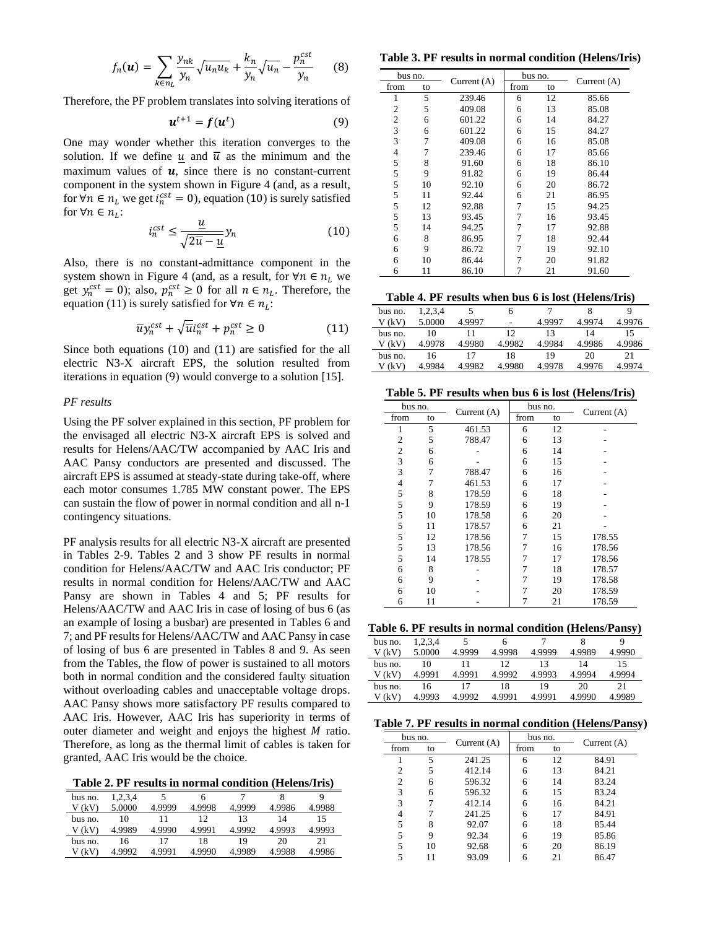$$
f_n(\boldsymbol{u}) = \sum_{k \in n_L} \frac{y_{nk}}{y_n} \sqrt{u_n u_k} + \frac{k_n}{y_n} \sqrt{u_n} - \frac{p_n^{cst}}{y_n}
$$
(8)

Therefore, the PF problem translates into solving iterations of

$$
\boldsymbol{u}^{t+1} = \boldsymbol{f}(\boldsymbol{u}^t) \tag{9}
$$

One may wonder whether this iteration converges to the solution. If we define u and  $\overline{u}$  as the minimum and the maximum values of  $u$ , since there is no constant-current component in the system shown in Figure 4 (and, as a result, for  $\forall n \in n_L$  we get  $i_n^{cst} = 0$ ), equation (10) is surely satisfied for  $\forall n \in n_L$ :

$$
i_n^{cst} \le \frac{\underline{u}}{\sqrt{2\overline{u} - \underline{u}}} y_n \tag{10}
$$

Also, there is no constant-admittance component in the system shown in Figure 4 (and, as a result, for  $\forall n \in n_L$  we get  $y_n^{cst} = 0$ ); also,  $p_n^{cst} \ge 0$  for all  $n \in n_L$ . Therefore, the equation (11) is surely satisfied for  $\forall n \in n_L$ :

$$
\overline{u}y_n^{cst} + \sqrt{\overline{u}}\overline{u}_n^{cst} + p_n^{cst} \ge 0 \tag{11}
$$

Since both equations (10) and (11) are satisfied for the all electric N3-X aircraft EPS, the solution resulted from iterations in equation (9) would converge to a solution [15].

#### *PF results*

Using the PF solver explained in this section, PF problem for the envisaged all electric N3-X aircraft EPS is solved and results for Helens/AAC/TW accompanied by AAC Iris and AAC Pansy conductors are presented and discussed. The aircraft EPS is assumed at steady-state during take-off, where each motor consumes 1.785 MW constant power. The EPS can sustain the flow of power in normal condition and all n-1 contingency situations.

PF analysis results for all electric N3-X aircraft are presented in Tables 2-9. Tables 2 and 3 show PF results in normal condition for Helens/AAC/TW and AAC Iris conductor; PF results in normal condition for Helens/AAC/TW and AAC Pansy are shown in Tables 4 and 5; PF results for Helens/AAC/TW and AAC Iris in case of losing of bus 6 (as an example of losing a busbar) are presented in Tables 6 and 7; and PF results for Helens/AAC/TW and AAC Pansy in case of losing of bus 6 are presented in Tables 8 and 9. As seen from the Tables, the flow of power is sustained to all motors both in normal condition and the considered faulty situation without overloading cables and unacceptable voltage drops. AAC Pansy shows more satisfactory PF results compared to AAC Iris. However, AAC Iris has superiority in terms of outer diameter and weight and enjoys the highest  $M$  ratio. Therefore, as long as the thermal limit of cables is taken for granted, AAC Iris would be the choice.

**Table 2. PF results in normal condition (Helens/Iris)**

| bus no. | 1,2,3,4 |        |        |        | 8      |        |
|---------|---------|--------|--------|--------|--------|--------|
| V (kV)  | 5.0000  | 4.9999 | 4.9998 | 4.9999 | 4.9986 | 4.9988 |
| bus no. | 10      |        |        | 13     | 14     |        |
| V (kV)  | 4.9989  | 4.9990 | 4.9991 | 4.9992 | 4.9993 | 4.9993 |
| bus no. | 16      |        | 18     | 19     | 20     | 21     |
| (kV)    | 4.9992  | 4.9991 | 4.9990 | 4.9989 | 4.9988 | 4.9986 |

**Table 3. PF results in normal condition (Helens/Iris)**

| bus no.      |    |               | bus no. |    |               |
|--------------|----|---------------|---------|----|---------------|
| from         | to | Current $(A)$ | from    | to | Current $(A)$ |
| 1            | 5  | 239.46        | 6       | 12 | 85.66         |
| 2            | 5  | 409.08        | 6       | 13 | 85.08         |
| $\mathbf{2}$ | 6  | 601.22        | 6       | 14 | 84.27         |
| 3            | 6  | 601.22        | 6       | 15 | 84.27         |
| 3            | 7  | 409.08        | 6       | 16 | 85.08         |
| 4            | 7  | 239.46        | 6       | 17 | 85.66         |
| 5            | 8  | 91.60         | 6       | 18 | 86.10         |
| 5            | 9  | 91.82         | 6       | 19 | 86.44         |
| 5            | 10 | 92.10         | 6       | 20 | 86.72         |
| 5            | 11 | 92.44         | 6       | 21 | 86.95         |
| 5            | 12 | 92.88         | 7       | 15 | 94.25         |
| 5            | 13 | 93.45         | 7       | 16 | 93.45         |
| 5            | 14 | 94.25         | 7       | 17 | 92.88         |
| 6            | 8  | 86.95         | 7       | 18 | 92.44         |
| 6            | 9  | 86.72         | 7       | 19 | 92.10         |
| 6            | 10 | 86.44         | 7       | 20 | 91.82         |
| 6            | 11 | 86.10         |         | 21 | 91.60         |

**Table 4. PF results when bus 6 is lost (Helens/Iris)**

| 1,2,3,4<br>bus no.<br>6                                  |        |
|----------------------------------------------------------|--------|
| 5.0000<br>V (kV)<br>4.9997<br>4.9974<br>4.9997<br>-      | 4.9976 |
| 12<br>13<br>10<br>14<br>bus no.                          | 15     |
| 4.9982<br>4.9980<br>4.9978<br>4.9984<br>4.9986<br>V (kV) | 4.9986 |
| 18<br>19<br>20<br>16<br>bus no.                          | 21     |
| 4.9980<br>4.9982<br>V (kV)<br>4.9978<br>4.9984<br>4.9976 | 4.9974 |

**Table 5. PF results when bus 6 is lost (Helens/Iris)**

| bus no.        |    | Current $(A)$ | bus no. |    | Current $(A)$ |  |
|----------------|----|---------------|---------|----|---------------|--|
| from           | to |               | from    | to |               |  |
| 1              | 5  | 461.53        | 6       | 12 |               |  |
| 2              | 5  | 788.47        | 6       | 13 |               |  |
| $\mathfrak{2}$ | 6  |               | 6       | 14 |               |  |
| 3              | 6  |               | 6       | 15 |               |  |
| 3              | 7  | 788.47        | 6       | 16 |               |  |
| $\overline{4}$ | 7  | 461.53        | 6       | 17 |               |  |
| 5              | 8  | 178.59        | 6       | 18 |               |  |
| 5              | 9  | 178.59        | 6       | 19 |               |  |
| 5              | 10 | 178.58        | 6       | 20 |               |  |
| 5              | 11 | 178.57        | 6       | 21 |               |  |
| 5              | 12 | 178.56        | 7       | 15 | 178.55        |  |
| 5              | 13 | 178.56        | 7       | 16 | 178.56        |  |
| 5              | 14 | 178.55        | 7       | 17 | 178.56        |  |
| 6              | 8  |               | 7       | 18 | 178.57        |  |
| 6              | 9  |               | 7       | 19 | 178.58        |  |
| 6              | 10 |               | 7       | 20 | 178.59        |  |
| 6              | 11 |               |         | 21 | 178.59        |  |

**Table 6. PF results in normal condition (Helens/Pansy)**

| bus no. | 1,2,3,4 |        |           |        |        |        |
|---------|---------|--------|-----------|--------|--------|--------|
| V (kV)  | 5.0000  | 4.9999 | 4.9998    | 4.9999 | 4.9989 | 4.9990 |
| bus no. | 10      |        |           | 13     | 14     | 15     |
| V (kV)  | 4.9991  | 4.9991 | 4.9992    | 4.9993 | 4.9994 | 4.9994 |
| bus no. | 16      |        | 18        | 19     | 20     | 21     |
| (kV)    | 4.9993  | 4.9992 | 4 9 9 9 1 | 4.9991 | 4.9990 | 4.9989 |

**Table 7. PF results in normal condition (Helens/Pansy)**

| bus no. |    |               | bus no. |    |               |
|---------|----|---------------|---------|----|---------------|
| from    | to | Current $(A)$ | from    | to | Current $(A)$ |
|         | 5  | 241.25        | 6       | 12 | 84.91         |
| 2       | 5  | 412.14        | 6       | 13 | 84.21         |
| 2       | 6  | 596.32        | 6       | 14 | 83.24         |
| 3       | 6  | 596.32        | 6       | 15 | 83.24         |
| 3       | 7  | 412.14        | 6       | 16 | 84.21         |
| 4       | 7  | 241.25        | 6       | 17 | 84.91         |
| 5       | 8  | 92.07         | 6       | 18 | 85.44         |
| 5       | 9  | 92.34         | 6       | 19 | 85.86         |
| 5       | 10 | 92.68         | 6       | 20 | 86.19         |
| 5       |    | 93.09         | 6       | 21 | 86.47         |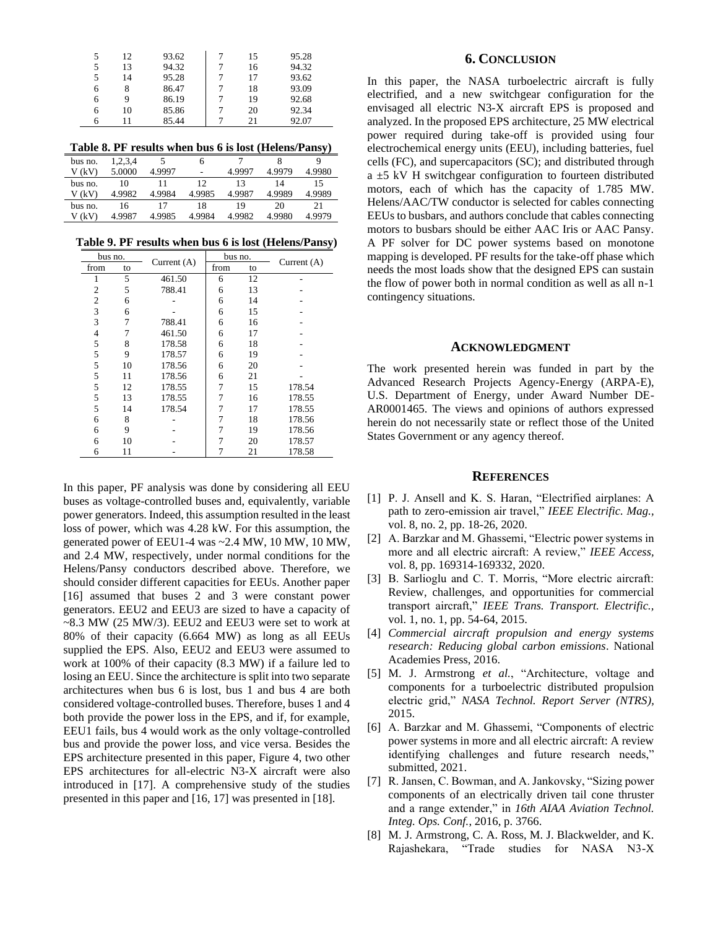| 5 | 12 | 93.62 | 15 | 95.28 |
|---|----|-------|----|-------|
| 5 | 13 | 94.32 | 16 | 94.32 |
| 5 | 14 | 95.28 | 17 | 93.62 |
| 6 | 8  | 86.47 | 18 | 93.09 |
| 6 | 9  | 86.19 | 19 | 92.68 |
| 6 | 10 | 85.86 | 20 | 92.34 |
| h | 11 | 85.44 | 21 | 92.07 |

**Table 8. PF results when bus 6 is lost (Helens/Pansy)**

| bus no. | 1,2,3,4 |        | n      |        |        |        |
|---------|---------|--------|--------|--------|--------|--------|
| V (kV)  | 5.0000  | 4.9997 | -      | 4.9997 | 4.9979 | 4.9980 |
| bus no. | 10      |        | 12     | 13     | 14     | 15     |
| V (kV)  | 4.9982  | 4.9984 | 4.9985 | 4.9987 | 4.9989 | 4.9989 |
| bus no. | 16      |        | 18     | 19     | 20     | 21     |
| V (kV)  | 4.9987  | 4.9985 | 4.9984 | 4.9982 | 4.9980 | 4.9979 |

**Table 9. PF results when bus 6 is lost (Helens/Pansy)**

| bus no.        |    |               | bus no. |    |               |
|----------------|----|---------------|---------|----|---------------|
| from           | to | Current $(A)$ | from    | to | Current $(A)$ |
| 1              | 5  | 461.50        | 6       | 12 |               |
| $\mathfrak{2}$ | 5  | 788.41        | 6       | 13 |               |
| $\overline{c}$ | 6  |               | 6       | 14 |               |
| 3              | 6  |               | 6       | 15 |               |
| 3              | 7  | 788.41        | 6       | 16 |               |
| $\overline{4}$ | 7  | 461.50        | 6       | 17 |               |
| 5              | 8  | 178.58        | 6       | 18 |               |
| 5              | 9  | 178.57        | 6       | 19 |               |
| 5              | 10 | 178.56        | 6       | 20 |               |
| 5              | 11 | 178.56        | 6       | 21 |               |
| 5              | 12 | 178.55        | 7       | 15 | 178.54        |
| 5              | 13 | 178.55        | 7       | 16 | 178.55        |
| 5              | 14 | 178.54        | 7       | 17 | 178.55        |
| 6              | 8  |               | 7       | 18 | 178.56        |
| 6              | 9  |               | 7       | 19 | 178.56        |
| 6              | 10 |               | 7       | 20 | 178.57        |
| 6              | 11 |               |         | 21 | 178.58        |

In this paper, PF analysis was done by considering all EEU buses as voltage-controlled buses and, equivalently, variable power generators. Indeed, this assumption resulted in the least loss of power, which was 4.28 kW. For this assumption, the generated power of EEU1-4 was ~2.4 MW, 10 MW, 10 MW, and 2.4 MW, respectively, under normal conditions for the Helens/Pansy conductors described above. Therefore, we should consider different capacities for EEUs. Another paper [16] assumed that buses 2 and 3 were constant power generators. EEU2 and EEU3 are sized to have a capacity of  $\sim$ 8.3 MW (25 MW/3). EEU2 and EEU3 were set to work at 80% of their capacity (6.664 MW) as long as all EEUs supplied the EPS. Also, EEU2 and EEU3 were assumed to work at 100% of their capacity (8.3 MW) if a failure led to losing an EEU. Since the architecture is split into two separate architectures when bus 6 is lost, bus 1 and bus 4 are both considered voltage-controlled buses. Therefore, buses 1 and 4 both provide the power loss in the EPS, and if, for example, EEU1 fails, bus 4 would work as the only voltage-controlled bus and provide the power loss, and vice versa. Besides the EPS architecture presented in this paper, Figure 4, two other EPS architectures for all-electric N3-X aircraft were also introduced in [17]. A comprehensive study of the studies presented in this paper and [16, 17] was presented in [18].

## **6. CONCLUSION**

In this paper, the NASA turboelectric aircraft is fully electrified, and a new switchgear configuration for the envisaged all electric N3-X aircraft EPS is proposed and analyzed. In the proposed EPS architecture, 25 MW electrical power required during take-off is provided using four electrochemical energy units (EEU), including batteries, fuel cells (FC), and supercapacitors (SC); and distributed through a ±5 kV H switchgear configuration to fourteen distributed motors, each of which has the capacity of 1.785 MW. Helens/AAC/TW conductor is selected for cables connecting EEUs to busbars, and authors conclude that cables connecting motors to busbars should be either AAC Iris or AAC Pansy. A PF solver for DC power systems based on monotone mapping is developed. PF results for the take-off phase which needs the most loads show that the designed EPS can sustain the flow of power both in normal condition as well as all n-1 contingency situations.

## **ACKNOWLEDGMENT**

The work presented herein was funded in part by the Advanced Research Projects Agency-Energy (ARPA-E), U.S. Department of Energy, under Award Number DE-AR0001465. The views and opinions of authors expressed herein do not necessarily state or reflect those of the United States Government or any agency thereof.

#### **REFERENCES**

- [1] P. J. Ansell and K. S. Haran, "Electrified airplanes: A path to zero-emission air travel," *IEEE Electrific. Mag.,*  vol. 8, no. 2, pp. 18-26, 2020.
- [2] A. Barzkar and M. Ghassemi, "Electric power systems in more and all electric aircraft: A review," *IEEE Access,* vol. 8, pp. 169314-169332, 2020.
- [3] B. Sarlioglu and C. T. Morris, "More electric aircraft: Review, challenges, and opportunities for commercial transport aircraft," *IEEE Trans. Transport. Electrific.,*  vol. 1, no. 1, pp. 54-64, 2015.
- [4] *Commercial aircraft propulsion and energy systems research: Reducing global carbon emissions*. National Academies Press, 2016.
- [5] M. J. Armstrong *et al.*, "Architecture, voltage and components for a turboelectric distributed propulsion electric grid," *NASA Technol. Report Server (NTRS),*  2015.
- [6] A. Barzkar and M. Ghassemi, "Components of electric power systems in more and all electric aircraft: A review identifying challenges and future research needs," submitted, 2021.
- [7] R. Jansen, C. Bowman, and A. Jankovsky, "Sizing power components of an electrically driven tail cone thruster and a range extender," in *16th AIAA Aviation Technol. Integ. Ops. Conf.*, 2016, p. 3766.
- [8] M. J. Armstrong, C. A. Ross, M. J. Blackwelder, and K. Rajashekara, "Trade studies for NASA N3-X